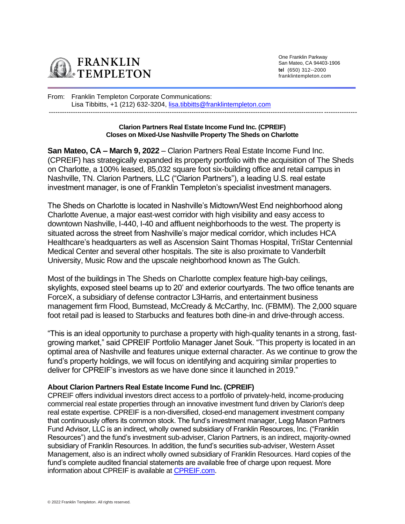

One Franklin Parkway San Mateo, CA 94403-1906 **tel** (650) 312--2000 franklintempleton.com

From: Franklin Templeton Corporate Communications: Lisa Tibbitts, +1 (212) 632-3204, [lisa.tibbitts@franklintempleton.com](mailto:lisa.tibbitts@franklintempleton.com) --------------------------------------------------------------------------------------------------------------------------------------------

### **Clarion Partners Real Estate Income Fund Inc. (CPREIF) Closes on Mixed-Use Nashville Property The Sheds on Charlotte**

**San Mateo, CA – March 9, 2022** – Clarion Partners Real Estate Income Fund Inc. (CPREIF) has strategically expanded its property portfolio with the acquisition of The Sheds on Charlotte, a 100% leased, 85,032 square foot six-building office and retail campus in Nashville, TN. Clarion Partners, LLC ("Clarion Partners"), a leading U.S. real estate investment manager, is one of Franklin Templeton's specialist investment managers.

The Sheds on Charlotte is located in Nashville's Midtown/West End neighborhood along Charlotte Avenue, a major east-west corridor with high visibility and easy access to downtown Nashville, I-440, I-40 and affluent neighborhoods to the west. The property is situated across the street from Nashville's major medical corridor, which includes HCA Healthcare's headquarters as well as Ascension Saint Thomas Hospital, TriStar Centennial Medical Center and several other hospitals. The site is also proximate to Vanderbilt University, Music Row and the upscale neighborhood known as The Gulch.

Most of the buildings in The Sheds on Charlotte complex feature high-bay ceilings, skylights, exposed steel beams up to 20' and exterior courtyards. The two office tenants are ForceX, a subsidiary of defense contractor L3Harris, and entertainment business management firm Flood, Bumstead, McCready & McCarthy, Inc. (FBMM). The 2,000 square foot retail pad is leased to Starbucks and features both dine-in and drive-through access.

"This is an ideal opportunity to purchase a property with high-quality tenants in a strong, fastgrowing market," said CPREIF Portfolio Manager Janet Souk. "This property is located in an optimal area of Nashville and features unique external character. As we continue to grow the fund's property holdings, we will focus on identifying and acquiring similar properties to deliver for CPREIF's investors as we have done since it launched in 2019."

## **About Clarion Partners Real Estate Income Fund Inc. (CPREIF)**

CPREIF offers individual investors direct access to a portfolio of privately-held, income-producing commercial real estate properties through an innovative investment fund driven by Clarion's deep real estate expertise. CPREIF is a non-diversified, closed-end management investment company that continuously offers its common stock. The fund's investment manager, Legg Mason Partners Fund Advisor, LLC is an indirect, wholly owned subsidiary of Franklin Resources, Inc. ("Franklin Resources") and the fund's investment sub-adviser, Clarion Partners, is an indirect, majority-owned subsidiary of Franklin Resources. In addition, the fund's securities sub-adviser, Western Asset Management, also is an indirect wholly owned subsidiary of Franklin Resources. Hard copies of the fund's complete audited financial statements are available free of charge upon request. More information about CPREIF is available at [CPREIF.com.](https://www.cpreif.com/)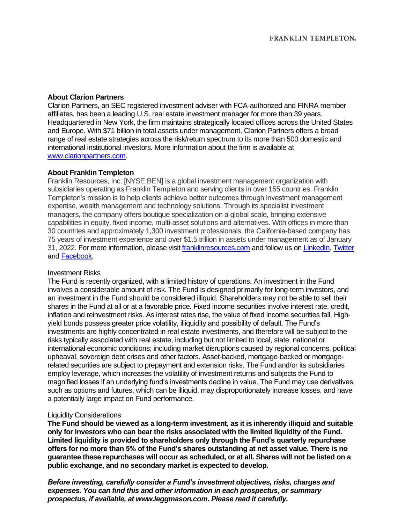# **About Clarion Partners**

Clarion Partners, an SEC registered investment adviser with FCA-authorized and FINRA member affiliates, has been a leading U.S. real estate investment manager for more than 39 years. Headquartered in New York, the firm maintains strategically located offices across the United States and Europe. With \$71 billion in total assets under management, Clarion Partners offers a broad range of real estate strategies across the risk/return spectrum to its more than 500 domestic and international institutional investors. More information about the firm is available at [www.clarionpartners.com.](https://www.clarionpartners.com/Pages/default.aspx)

## **About Franklin Templeton**

Franklin Resources, Inc. [NYSE:BEN] is a global investment management organization with subsidiaries operating as Franklin Templeton and serving clients in over 155 countries. Franklin Templeton's mission is to help clients achieve better outcomes through investment management expertise, wealth management and technology solutions. Through its specialist investment managers, the company offers boutique specialization on a global scale, bringing extensive capabilities in equity, fixed income, multi-asset solutions and alternatives. With offices in more than 30 countries and approximately 1,300 investment professionals, the California-based company has 75 years of investment experience and over \$1.5 trillion in assets under management as of January 31, 2022. For more information, please visi[t franklinresources.com](https://urldefense.proofpoint.com/v2/url?u=http-3A__franklinresources.com&d=DwMFAg&c=PMBNytmjBbkRgFcdMTUT4Q&r=SrT8MG32j5MCV8Aj535r_SzAcgdJljlot_fvUr_dKbg&m=KLR-45kBbVSsTnKxXLonAZIETjbPc20gPiDvmmySALw&s=WihpbNQQcljcfNcxobHbAyJWlDS3RSXbelilO-lWCHk&e=) and follow us on [LinkedIn,](https://www.linkedin.com/company/franklin-templeton/) [Twitter](https://twitter.com/FTI_US) and [Facebook.](https://www.facebook.com/franklintempleton/)

## Investment Risks

The Fund is recently organized, with a limited history of operations. An investment in the Fund involves a considerable amount of risk. The Fund is designed primarily for long-term investors, and an investment in the Fund should be considered illiquid. Shareholders may not be able to sell their shares in the Fund at all or at a favorable price. Fixed income securities involve interest rate, credit, inflation and reinvestment risks. As interest rates rise, the value of fixed income securities fall. Highyield bonds possess greater price volatility, illiquidity and possibility of default. The Fund's investments are highly concentrated in real estate investments, and therefore will be subject to the risks typically associated with real estate, including but not limited to local, state, national or international economic conditions; including market disruptions caused by regional concerns, political upheaval, sovereign debt crises and other factors. Asset-backed, mortgage-backed or mortgagerelated securities are subject to prepayment and extension risks. The Fund and/or its subsidiaries employ leverage, which increases the volatility of investment returns and subjects the Fund to magnified losses if an underlying fund's investments decline in value. The Fund may use derivatives, such as options and futures, which can be illiquid, may disproportionately increase losses, and have a potentially large impact on Fund performance.

## Liquidity Considerations

**The Fund should be viewed as a long-term investment, as it is inherently illiquid and suitable only for investors who can bear the risks associated with the limited liquidity of the Fund. Limited liquidity is provided to shareholders only through the Fund's quarterly repurchase offers for no more than 5% of the Fund's shares outstanding at net asset value. There is no guarantee these repurchases will occur as scheduled, or at all. Shares will not be listed on a public exchange, and no secondary market is expected to develop.**

*Before investing, carefully consider a Fund's investment objectives, risks, charges and expenses. You can find this and other information in each prospectus, or summary prospectus, if available, at www.leggmason.com. Please read it carefully.*